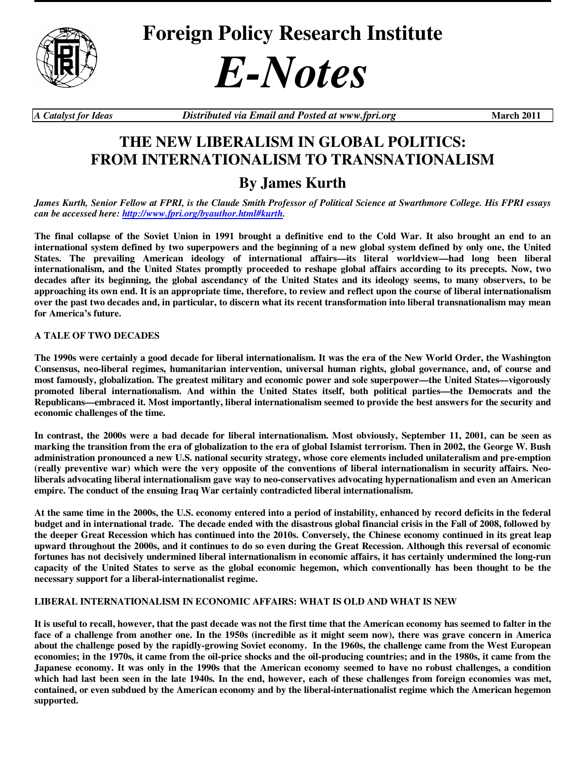

**Foreign Policy Research Institute** 



*A Catalyst for Ideas Distributed via Email and Posted at www.fpri.org* **March 2011** 

# **THE NEW LIBERALISM IN GLOBAL POLITICS: FROM INTERNATIONALISM TO TRANSNATIONALISM**

# **By James Kurth**

*James Kurth, Senior Fellow at FPRI, is the Claude Smith Professor of Political Science at Swarthmore College. His FPRI essays can be accessed here: http://www.fpri.org/byauthor.html#kurth.* 

**The final collapse of the Soviet Union in 1991 brought a definitive end to the Cold War. It also brought an end to an international system defined by two superpowers and the beginning of a new global system defined by only one, the United States. The prevailing American ideology of international affairs—its literal worldview—had long been liberal internationalism, and the United States promptly proceeded to reshape global affairs according to its precepts. Now, two decades after its beginning, the global ascendancy of the United States and its ideology seems, to many observers, to be approaching its own end. It is an appropriate time, therefore, to review and reflect upon the course of liberal internationalism over the past two decades and, in particular, to discern what its recent transformation into liberal transnationalism may mean for America's future.** 

# **A TALE OF TWO DECADES**

**The 1990s were certainly a good decade for liberal internationalism. It was the era of the New World Order, the Washington Consensus, neo-liberal regimes, humanitarian intervention, universal human rights, global governance, and, of course and most famously, globalization. The greatest military and economic power and sole superpower—the United States—vigorously promoted liberal internationalism. And within the United States itself, both political parties—the Democrats and the Republicans—embraced it. Most importantly, liberal internationalism seemed to provide the best answers for the security and economic challenges of the time.** 

**In contrast, the 2000s were a bad decade for liberal internationalism. Most obviously, September 11, 2001, can be seen as marking the transition from the era of globalization to the era of global Islamist terrorism. Then in 2002, the George W. Bush administration pronounced a new U.S. national security strategy, whose core elements included unilateralism and pre-emption (really preventive war) which were the very opposite of the conventions of liberal internationalism in security affairs. Neoliberals advocating liberal internationalism gave way to neo-conservatives advocating hypernationalism and even an American empire. The conduct of the ensuing Iraq War certainly contradicted liberal internationalism.** 

**At the same time in the 2000s, the U.S. economy entered into a period of instability, enhanced by record deficits in the federal budget and in international trade. The decade ended with the disastrous global financial crisis in the Fall of 2008, followed by the deeper Great Recession which has continued into the 2010s. Conversely, the Chinese economy continued in its great leap upward throughout the 2000s, and it continues to do so even during the Great Recession. Although this reversal of economic fortunes has not decisively undermined liberal internationalism in economic affairs, it has certainly undermined the long-run capacity of the United States to serve as the global economic hegemon, which conventionally has been thought to be the necessary support for a liberal-internationalist regime.**

# **LIBERAL INTERNATIONALISM IN ECONOMIC AFFAIRS: WHAT IS OLD AND WHAT IS NEW**

**It is useful to recall, however, that the past decade was not the first time that the American economy has seemed to falter in the face of a challenge from another one. In the 1950s (incredible as it might seem now), there was grave concern in America about the challenge posed by the rapidly-growing Soviet economy. In the 1960s, the challenge came from the West European economies; in the 1970s, it came from the oil-price shocks and the oil-producing countries; and in the 1980s, it came from the Japanese economy. It was only in the 1990s that the American economy seemed to have no robust challenges, a condition which had last been seen in the late 1940s. In the end, however, each of these challenges from foreign economies was met, contained, or even subdued by the American economy and by the liberal-internationalist regime which the American hegemon supported.**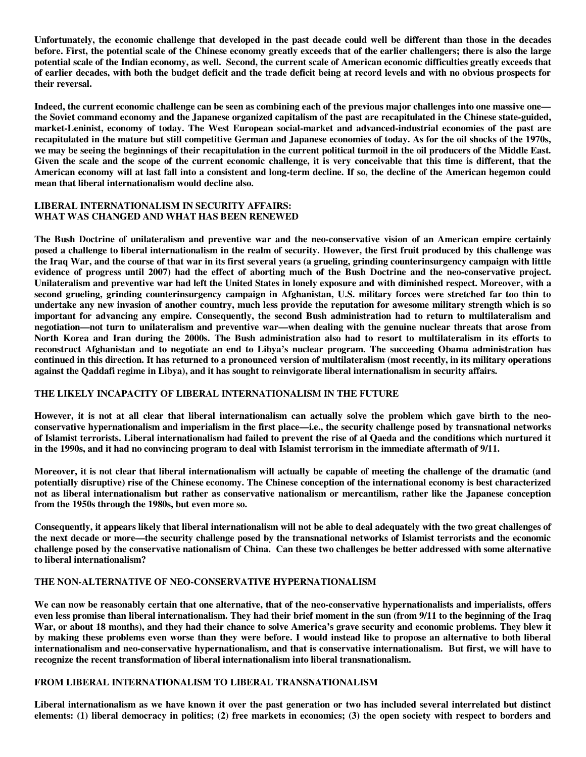**Unfortunately, the economic challenge that developed in the past decade could well be different than those in the decades before. First, the potential scale of the Chinese economy greatly exceeds that of the earlier challengers; there is also the large potential scale of the Indian economy, as well. Second, the current scale of American economic difficulties greatly exceeds that of earlier decades, with both the budget deficit and the trade deficit being at record levels and with no obvious prospects for their reversal.** 

**Indeed, the current economic challenge can be seen as combining each of the previous major challenges into one massive one the Soviet command economy and the Japanese organized capitalism of the past are recapitulated in the Chinese state-guided, market-Leninist, economy of today. The West European social-market and advanced-industrial economies of the past are recapitulated in the mature but still competitive German and Japanese economies of today. As for the oil shocks of the 1970s, we may be seeing the beginnings of their recapitulation in the current political turmoil in the oil producers of the Middle East. Given the scale and the scope of the current economic challenge, it is very conceivable that this time is different, that the American economy will at last fall into a consistent and long-term decline. If so, the decline of the American hegemon could mean that liberal internationalism would decline also.** 

#### **LIBERAL INTERNATIONALISM IN SECURITY AFFAIRS: WHAT WAS CHANGED AND WHAT HAS BEEN RENEWED**

**The Bush Doctrine of unilateralism and preventive war and the neo-conservative vision of an American empire certainly posed a challenge to liberal internationalism in the realm of security. However, the first fruit produced by this challenge was the Iraq War, and the course of that war in its first several years (a grueling, grinding counterinsurgency campaign with little evidence of progress until 2007) had the effect of aborting much of the Bush Doctrine and the neo-conservative project. Unilateralism and preventive war had left the United States in lonely exposure and with diminished respect. Moreover, with a second grueling, grinding counterinsurgency campaign in Afghanistan, U.S. military forces were stretched far too thin to undertake any new invasion of another country, much less provide the reputation for awesome military strength which is so important for advancing any empire. Consequently, the second Bush administration had to return to multilateralism and negotiation—not turn to unilateralism and preventive war—when dealing with the genuine nuclear threats that arose from North Korea and Iran during the 2000s. The Bush administration also had to resort to multilateralism in its efforts to reconstruct Afghanistan and to negotiate an end to Libya's nuclear program. The succeeding Obama administration has continued in this direction. It has returned to a pronounced version of multilateralism (most recently, in its military operations against the Qaddafi regime in Libya), and it has sought to reinvigorate liberal internationalism in security affairs.** 

# **THE LIKELY INCAPACITY OF LIBERAL INTERNATIONALISM IN THE FUTURE**

**However, it is not at all clear that liberal internationalism can actually solve the problem which gave birth to the neoconservative hypernationalism and imperialism in the first place—i.e., the security challenge posed by transnational networks of Islamist terrorists. Liberal internationalism had failed to prevent the rise of al Qaeda and the conditions which nurtured it in the 1990s, and it had no convincing program to deal with Islamist terrorism in the immediate aftermath of 9/11.** 

**Moreover, it is not clear that liberal internationalism will actually be capable of meeting the challenge of the dramatic (and potentially disruptive) rise of the Chinese economy. The Chinese conception of the international economy is best characterized not as liberal internationalism but rather as conservative nationalism or mercantilism, rather like the Japanese conception from the 1950s through the 1980s, but even more so.** 

**Consequently, it appears likely that liberal internationalism will not be able to deal adequately with the two great challenges of the next decade or more—the security challenge posed by the transnational networks of Islamist terrorists and the economic challenge posed by the conservative nationalism of China. Can these two challenges be better addressed with some alternative to liberal internationalism?** 

# **THE NON-ALTERNATIVE OF NEO-CONSERVATIVE HYPERNATIONALISM**

**We can now be reasonably certain that one alternative, that of the neo-conservative hypernationalists and imperialists, offers even less promise than liberal internationalism. They had their brief moment in the sun (from 9/11 to the beginning of the Iraq War, or about 18 months), and they had their chance to solve America's grave security and economic problems. They blew it by making these problems even worse than they were before. I would instead like to propose an alternative to both liberal internationalism and neo-conservative hypernationalism, and that is conservative internationalism. But first, we will have to recognize the recent transformation of liberal internationalism into liberal transnationalism.** 

# **FROM LIBERAL INTERNATIONALISM TO LIBERAL TRANSNATIONALISM**

**Liberal internationalism as we have known it over the past generation or two has included several interrelated but distinct elements: (1) liberal democracy in politics; (2) free markets in economics; (3) the open society with respect to borders and**